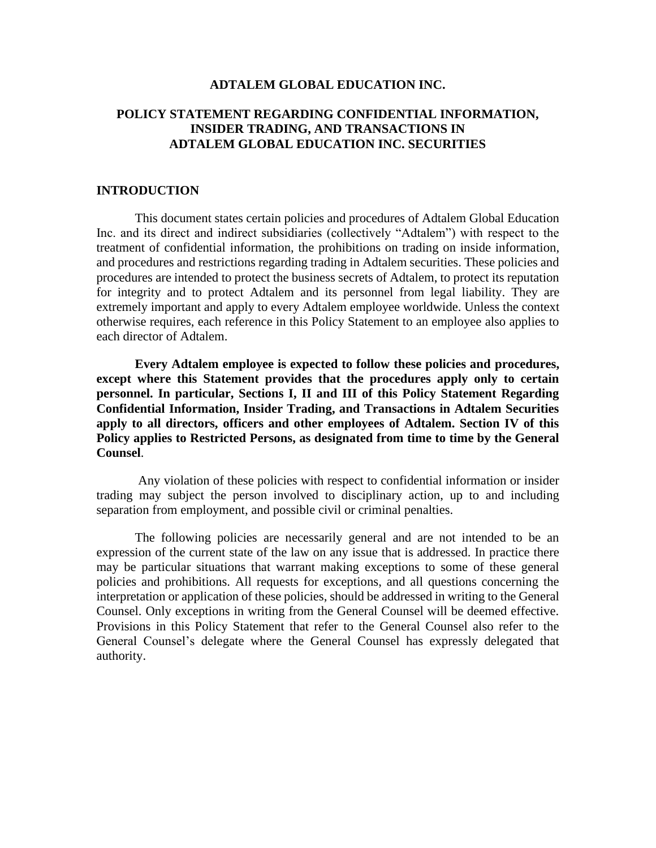### **ADTALEM GLOBAL EDUCATION INC.**

# **POLICY STATEMENT REGARDING CONFIDENTIAL INFORMATION, INSIDER TRADING, AND TRANSACTIONS IN ADTALEM GLOBAL EDUCATION INC. SECURITIES**

### **INTRODUCTION**

This document states certain policies and procedures of Adtalem Global Education Inc. and its direct and indirect subsidiaries (collectively "Adtalem") with respect to the treatment of confidential information, the prohibitions on trading on inside information, and procedures and restrictions regarding trading in Adtalem securities. These policies and procedures are intended to protect the business secrets of Adtalem, to protect its reputation for integrity and to protect Adtalem and its personnel from legal liability. They are extremely important and apply to every Adtalem employee worldwide. Unless the context otherwise requires, each reference in this Policy Statement to an employee also applies to each director of Adtalem.

**Every Adtalem employee is expected to follow these policies and procedures, except where this Statement provides that the procedures apply only to certain personnel. In particular, Sections I, II and III of this Policy Statement Regarding Confidential Information, Insider Trading, and Transactions in Adtalem Securities apply to all directors, officers and other employees of Adtalem. Section IV of this Policy applies to Restricted Persons, as designated from time to time by the General Counsel**.

Any violation of these policies with respect to confidential information or insider trading may subject the person involved to disciplinary action, up to and including separation from employment, and possible civil or criminal penalties.

The following policies are necessarily general and are not intended to be an expression of the current state of the law on any issue that is addressed. In practice there may be particular situations that warrant making exceptions to some of these general policies and prohibitions. All requests for exceptions, and all questions concerning the interpretation or application of these policies, should be addressed in writing to the General Counsel. Only exceptions in writing from the General Counsel will be deemed effective. Provisions in this Policy Statement that refer to the General Counsel also refer to the General Counsel's delegate where the General Counsel has expressly delegated that authority.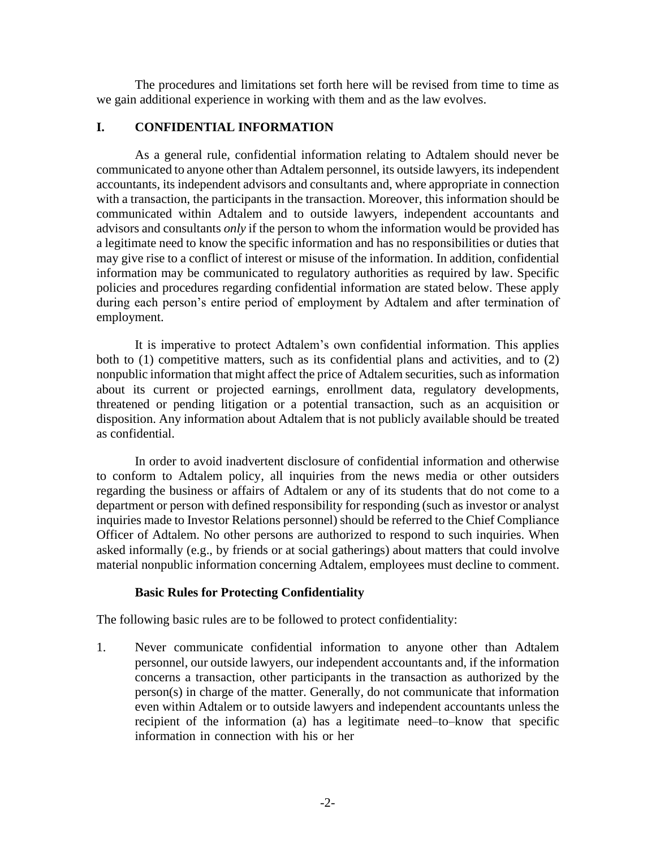The procedures and limitations set forth here will be revised from time to time as we gain additional experience in working with them and as the law evolves.

# **I. CONFIDENTIAL INFORMATION**

As a general rule, confidential information relating to Adtalem should never be communicated to anyone other than Adtalem personnel, its outside lawyers, its independent accountants, its independent advisors and consultants and, where appropriate in connection with a transaction, the participants in the transaction. Moreover, this information should be communicated within Adtalem and to outside lawyers, independent accountants and advisors and consultants *only* if the person to whom the information would be provided has a legitimate need to know the specific information and has no responsibilities or duties that may give rise to a conflict of interest or misuse of the information. In addition, confidential information may be communicated to regulatory authorities as required by law. Specific policies and procedures regarding confidential information are stated below. These apply during each person's entire period of employment by Adtalem and after termination of employment.

It is imperative to protect Adtalem's own confidential information. This applies both to (1) competitive matters, such as its confidential plans and activities, and to (2) nonpublic information that might affect the price of Adtalem securities, such as information about its current or projected earnings, enrollment data, regulatory developments, threatened or pending litigation or a potential transaction, such as an acquisition or disposition. Any information about Adtalem that is not publicly available should be treated as confidential.

In order to avoid inadvertent disclosure of confidential information and otherwise to conform to Adtalem policy, all inquiries from the news media or other outsiders regarding the business or affairs of Adtalem or any of its students that do not come to a department or person with defined responsibility for responding (such as investor or analyst inquiries made to Investor Relations personnel) should be referred to the Chief Compliance Officer of Adtalem. No other persons are authorized to respond to such inquiries. When asked informally (e.g., by friends or at social gatherings) about matters that could involve material nonpublic information concerning Adtalem, employees must decline to comment.

# **Basic Rules for Protecting Confidentiality**

The following basic rules are to be followed to protect confidentiality:

1. Never communicate confidential information to anyone other than Adtalem personnel, our outside lawyers, our independent accountants and, if the information concerns a transaction, other participants in the transaction as authorized by the person(s) in charge of the matter. Generally, do not communicate that information even within Adtalem or to outside lawyers and independent accountants unless the recipient of the information (a) has a legitimate need–to–know that specific information in connection with his or her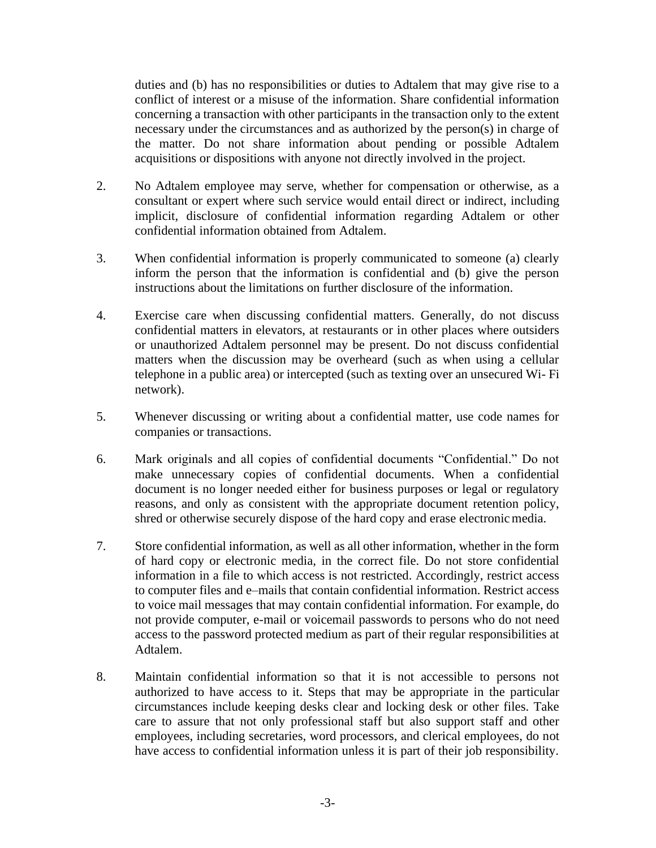duties and (b) has no responsibilities or duties to Adtalem that may give rise to a conflict of interest or a misuse of the information. Share confidential information concerning a transaction with other participants in the transaction only to the extent necessary under the circumstances and as authorized by the person(s) in charge of the matter. Do not share information about pending or possible Adtalem acquisitions or dispositions with anyone not directly involved in the project.

- 2. No Adtalem employee may serve, whether for compensation or otherwise, as a consultant or expert where such service would entail direct or indirect, including implicit, disclosure of confidential information regarding Adtalem or other confidential information obtained from Adtalem.
- 3. When confidential information is properly communicated to someone (a) clearly inform the person that the information is confidential and (b) give the person instructions about the limitations on further disclosure of the information.
- 4. Exercise care when discussing confidential matters. Generally, do not discuss confidential matters in elevators, at restaurants or in other places where outsiders or unauthorized Adtalem personnel may be present. Do not discuss confidential matters when the discussion may be overheard (such as when using a cellular telephone in a public area) or intercepted (such as texting over an unsecured Wi- Fi network).
- 5. Whenever discussing or writing about a confidential matter, use code names for companies or transactions.
- 6. Mark originals and all copies of confidential documents "Confidential." Do not make unnecessary copies of confidential documents. When a confidential document is no longer needed either for business purposes or legal or regulatory reasons, and only as consistent with the appropriate document retention policy, shred or otherwise securely dispose of the hard copy and erase electronic media.
- 7. Store confidential information, as well as all other information, whether in the form of hard copy or electronic media, in the correct file. Do not store confidential information in a file to which access is not restricted. Accordingly, restrict access to computer files and e–mails that contain confidential information. Restrict access to voice mail messages that may contain confidential information. For example, do not provide computer, e-mail or voicemail passwords to persons who do not need access to the password protected medium as part of their regular responsibilities at Adtalem.
- 8. Maintain confidential information so that it is not accessible to persons not authorized to have access to it. Steps that may be appropriate in the particular circumstances include keeping desks clear and locking desk or other files. Take care to assure that not only professional staff but also support staff and other employees, including secretaries, word processors, and clerical employees, do not have access to confidential information unless it is part of their job responsibility.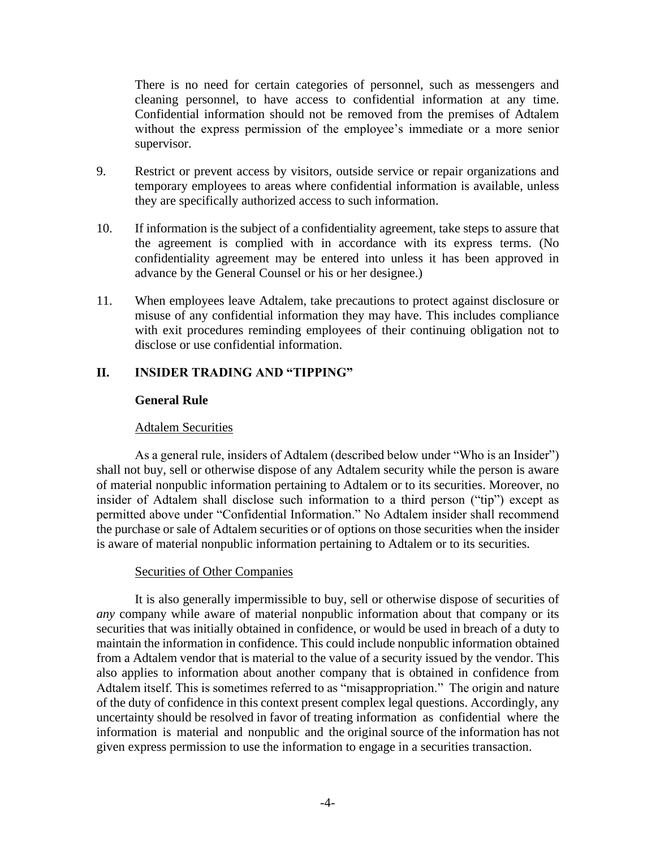There is no need for certain categories of personnel, such as messengers and cleaning personnel, to have access to confidential information at any time. Confidential information should not be removed from the premises of Adtalem without the express permission of the employee's immediate or a more senior supervisor.

- 9. Restrict or prevent access by visitors, outside service or repair organizations and temporary employees to areas where confidential information is available, unless they are specifically authorized access to such information.
- 10. If information is the subject of a confidentiality agreement, take steps to assure that the agreement is complied with in accordance with its express terms. (No confidentiality agreement may be entered into unless it has been approved in advance by the General Counsel or his or her designee.)
- 11. When employees leave Adtalem, take precautions to protect against disclosure or misuse of any confidential information they may have. This includes compliance with exit procedures reminding employees of their continuing obligation not to disclose or use confidential information.

# **II. INSIDER TRADING AND "TIPPING"**

# **General Rule**

# Adtalem Securities

As a general rule, insiders of Adtalem (described below under "Who is an Insider") shall not buy, sell or otherwise dispose of any Adtalem security while the person is aware of material nonpublic information pertaining to Adtalem or to its securities. Moreover, no insider of Adtalem shall disclose such information to a third person ("tip") except as permitted above under "Confidential Information." No Adtalem insider shall recommend the purchase or sale of Adtalem securities or of options on those securities when the insider is aware of material nonpublic information pertaining to Adtalem or to its securities.

# Securities of Other Companies

It is also generally impermissible to buy, sell or otherwise dispose of securities of *any* company while aware of material nonpublic information about that company or its securities that was initially obtained in confidence, or would be used in breach of a duty to maintain the information in confidence. This could include nonpublic information obtained from a Adtalem vendor that is material to the value of a security issued by the vendor. This also applies to information about another company that is obtained in confidence from Adtalem itself. This is sometimes referred to as "misappropriation." The origin and nature of the duty of confidence in this context present complex legal questions. Accordingly, any uncertainty should be resolved in favor of treating information as confidential where the information is material and nonpublic and the original source of the information has not given express permission to use the information to engage in a securities transaction.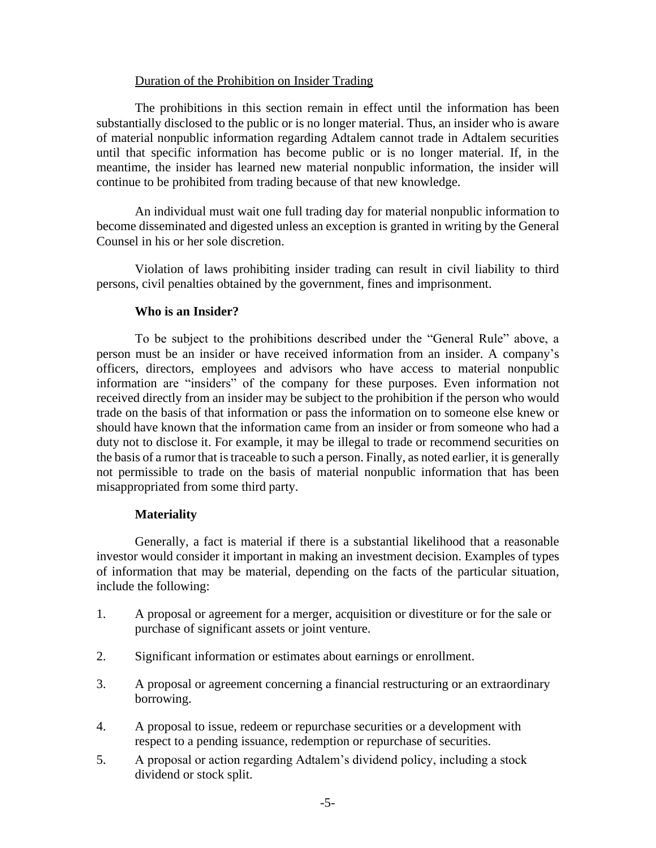# Duration of the Prohibition on Insider Trading

The prohibitions in this section remain in effect until the information has been substantially disclosed to the public or is no longer material. Thus, an insider who is aware of material nonpublic information regarding Adtalem cannot trade in Adtalem securities until that specific information has become public or is no longer material. If, in the meantime, the insider has learned new material nonpublic information, the insider will continue to be prohibited from trading because of that new knowledge.

An individual must wait one full trading day for material nonpublic information to become disseminated and digested unless an exception is granted in writing by the General Counsel in his or her sole discretion.

Violation of laws prohibiting insider trading can result in civil liability to third persons, civil penalties obtained by the government, fines and imprisonment.

# **Who is an Insider?**

To be subject to the prohibitions described under the "General Rule" above, a person must be an insider or have received information from an insider. A company's officers, directors, employees and advisors who have access to material nonpublic information are "insiders" of the company for these purposes. Even information not received directly from an insider may be subject to the prohibition if the person who would trade on the basis of that information or pass the information on to someone else knew or should have known that the information came from an insider or from someone who had a duty not to disclose it. For example, it may be illegal to trade or recommend securities on the basis of a rumor that is traceable to such a person. Finally, as noted earlier, it is generally not permissible to trade on the basis of material nonpublic information that has been misappropriated from some third party.

# **Materiality**

Generally, a fact is material if there is a substantial likelihood that a reasonable investor would consider it important in making an investment decision. Examples of types of information that may be material, depending on the facts of the particular situation, include the following:

- 1. A proposal or agreement for a merger, acquisition or divestiture or for the sale or purchase of significant assets or joint venture.
- 2. Significant information or estimates about earnings or enrollment.
- 3. A proposal or agreement concerning a financial restructuring or an extraordinary borrowing.
- 4. A proposal to issue, redeem or repurchase securities or a development with respect to a pending issuance, redemption or repurchase of securities.
- 5. A proposal or action regarding Adtalem's dividend policy, including a stock dividend or stock split.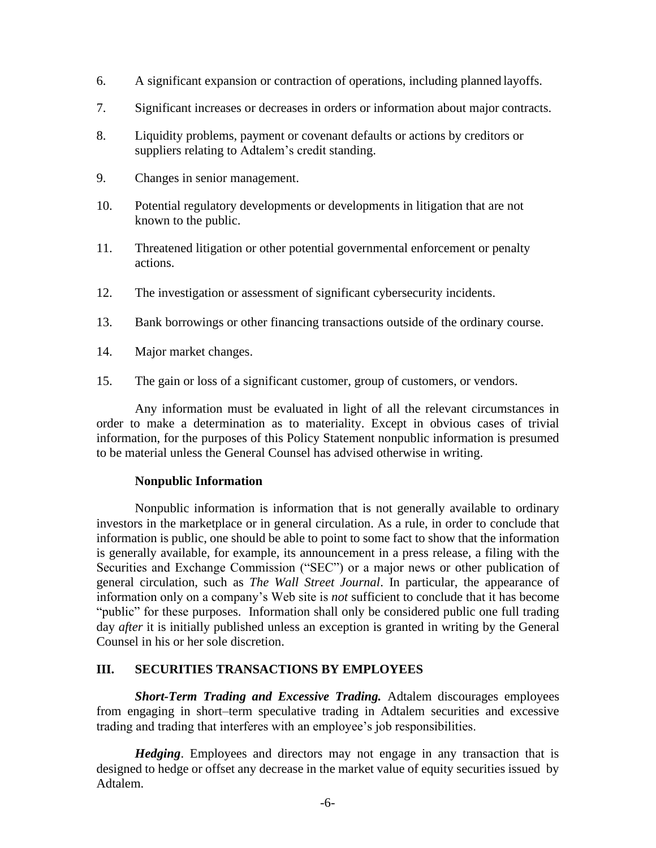- 6. A significant expansion or contraction of operations, including planned layoffs.
- 7. Significant increases or decreases in orders or information about major contracts.
- 8. Liquidity problems, payment or covenant defaults or actions by creditors or suppliers relating to Adtalem's credit standing.
- 9. Changes in senior management.
- 10. Potential regulatory developments or developments in litigation that are not known to the public.
- 11. Threatened litigation or other potential governmental enforcement or penalty actions.
- 12. The investigation or assessment of significant cybersecurity incidents.
- 13. Bank borrowings or other financing transactions outside of the ordinary course.
- 14. Major market changes.
- 15. The gain or loss of a significant customer, group of customers, or vendors.

Any information must be evaluated in light of all the relevant circumstances in order to make a determination as to materiality. Except in obvious cases of trivial information, for the purposes of this Policy Statement nonpublic information is presumed to be material unless the General Counsel has advised otherwise in writing.

### **Nonpublic Information**

Nonpublic information is information that is not generally available to ordinary investors in the marketplace or in general circulation. As a rule, in order to conclude that information is public, one should be able to point to some fact to show that the information is generally available, for example, its announcement in a press release, a filing with the Securities and Exchange Commission ("SEC") or a major news or other publication of general circulation, such as *The Wall Street Journal*. In particular, the appearance of information only on a company's Web site is *not* sufficient to conclude that it has become "public" for these purposes. Information shall only be considered public one full trading day *after* it is initially published unless an exception is granted in writing by the General Counsel in his or her sole discretion.

# **III. SECURITIES TRANSACTIONS BY EMPLOYEES**

*Short-Term Trading and Excessive Trading.* Adtalem discourages employees from engaging in short–term speculative trading in Adtalem securities and excessive trading and trading that interferes with an employee's job responsibilities.

*Hedging*. Employees and directors may not engage in any transaction that is designed to hedge or offset any decrease in the market value of equity securities issued by Adtalem.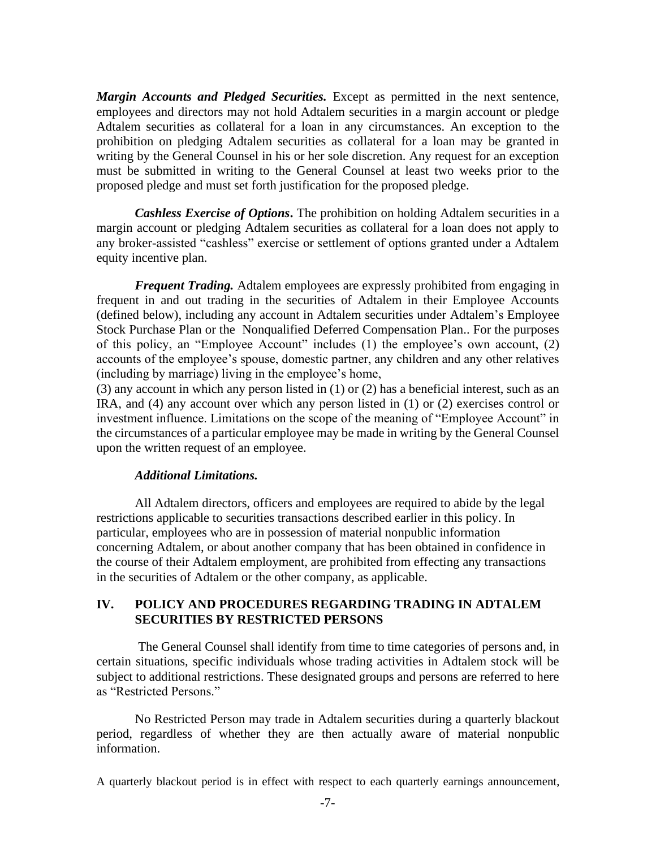*Margin Accounts and Pledged Securities.* Except as permitted in the next sentence, employees and directors may not hold Adtalem securities in a margin account or pledge Adtalem securities as collateral for a loan in any circumstances. An exception to the prohibition on pledging Adtalem securities as collateral for a loan may be granted in writing by the General Counsel in his or her sole discretion. Any request for an exception must be submitted in writing to the General Counsel at least two weeks prior to the proposed pledge and must set forth justification for the proposed pledge.

*Cashless Exercise of Options***.** The prohibition on holding Adtalem securities in a margin account or pledging Adtalem securities as collateral for a loan does not apply to any broker-assisted "cashless" exercise or settlement of options granted under a Adtalem equity incentive plan.

*Frequent Trading.* Adtalem employees are expressly prohibited from engaging in frequent in and out trading in the securities of Adtalem in their Employee Accounts (defined below), including any account in Adtalem securities under Adtalem's Employee Stock Purchase Plan or the Nonqualified Deferred Compensation Plan.. For the purposes of this policy, an "Employee Account" includes (1) the employee's own account, (2) accounts of the employee's spouse, domestic partner, any children and any other relatives (including by marriage) living in the employee's home,

(3) any account in which any person listed in (1) or (2) has a beneficial interest, such as an IRA, and (4) any account over which any person listed in (1) or (2) exercises control or investment influence. Limitations on the scope of the meaning of "Employee Account" in the circumstances of a particular employee may be made in writing by the General Counsel upon the written request of an employee.

# *Additional Limitations.*

All Adtalem directors, officers and employees are required to abide by the legal restrictions applicable to securities transactions described earlier in this policy. In particular, employees who are in possession of material nonpublic information concerning Adtalem, or about another company that has been obtained in confidence in the course of their Adtalem employment, are prohibited from effecting any transactions in the securities of Adtalem or the other company, as applicable.

# **IV. POLICY AND PROCEDURES REGARDING TRADING IN ADTALEM SECURITIES BY RESTRICTED PERSONS**

The General Counsel shall identify from time to time categories of persons and, in certain situations, specific individuals whose trading activities in Adtalem stock will be subject to additional restrictions. These designated groups and persons are referred to here as "Restricted Persons."

No Restricted Person may trade in Adtalem securities during a quarterly blackout period, regardless of whether they are then actually aware of material nonpublic information.

A quarterly blackout period is in effect with respect to each quarterly earnings announcement,